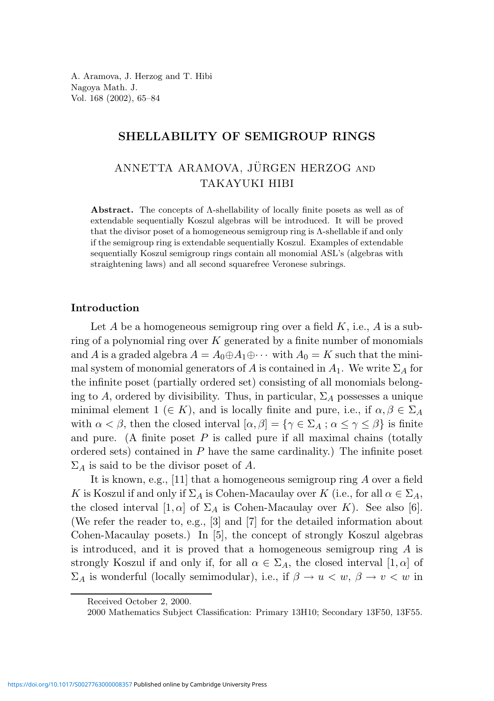A. Aramova, J. Herzog and T. Hibi Nagoya Math. J. Vol. 168 (2002), 65–84

## SHELLABILITY OF SEMIGROUP RINGS

# ANNETTA ARAMOVA, JÜRGEN HERZOG AND TAKAYUKI HIBI

Abstract. The concepts of Λ-shellability of locally finite posets as well as of extendable sequentially Koszul algebras will be introduced. It will be proved that the divisor poset of a homogeneous semigroup ring is Λ-shellable if and only if the semigroup ring is extendable sequentially Koszul. Examples of extendable sequentially Koszul semigroup rings contain all monomial ASL's (algebras with straightening laws) and all second squarefree Veronese subrings.

#### Introduction

Let A be a homogeneous semigroup ring over a field  $K$ , i.e., A is a subring of a polynomial ring over  $K$  generated by a finite number of monomials and A is a graded algebra  $A = A_0 \oplus A_1 \oplus \cdots$  with  $A_0 = K$  such that the minimal system of monomial generators of A is contained in  $A_1$ . We write  $\Sigma_A$  for the infinite poset (partially ordered set) consisting of all monomials belonging to A, ordered by divisibility. Thus, in particular,  $\Sigma_A$  possesses a unique minimal element  $1 \in K$ ), and is locally finite and pure, i.e., if  $\alpha, \beta \in \Sigma_A$ with  $\alpha < \beta$ , then the closed interval  $[\alpha, \beta] = {\gamma \in \Sigma_A : \alpha \leq \gamma \leq \beta}$  is finite and pure. (A finite poset  $P$  is called pure if all maximal chains (totally ordered sets) contained in  $P$  have the same cardinality.) The infinite poset  $\Sigma_A$  is said to be the divisor poset of A.

It is known, e.g., [11] that a homogeneous semigroup ring  $A$  over a field K is Koszul if and only if  $\Sigma_A$  is Cohen-Macaulay over K (i.e., for all  $\alpha \in \Sigma_A$ , the closed interval  $[1,\alpha]$  of  $\Sigma_A$  is Cohen-Macaulay over K). See also [6]. (We refer the reader to, e.g., [3] and [7] for the detailed information about Cohen-Macaulay posets.) In [5], the concept of strongly Koszul algebras is introduced, and it is proved that a homogeneous semigroup ring  $A$  is strongly Koszul if and only if, for all  $\alpha \in \Sigma_A$ , the closed interval  $[1,\alpha]$  of  $\Sigma_A$  is wonderful (locally semimodular), i.e., if  $\beta \to u < w$ ,  $\beta \to v < w$  in

Received October 2, 2000.

<sup>2000</sup> Mathematics Subject Classification: Primary 13H10; Secondary 13F50, 13F55.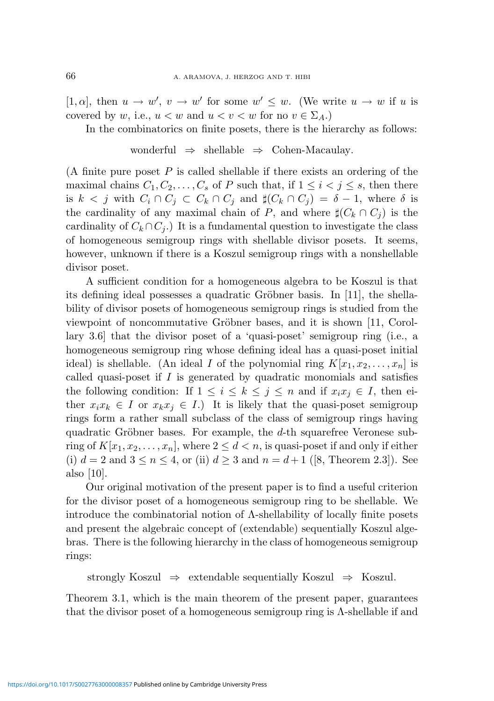[1,  $\alpha$ ], then  $u \to w'$ ,  $v \to w'$  for some  $w' \leq w$ . (We write  $u \to w$  if u is covered by w, i.e.,  $u < w$  and  $u < v < w$  for no  $v \in \Sigma_A$ .

In the combinatorics on finite posets, there is the hierarchy as follows:

$$
wonderful \Rightarrow shellable \Rightarrow Cohen-Macaulay.
$$

(A finite pure poset  $P$  is called shellable if there exists an ordering of the maximal chains  $C_1, C_2, \ldots, C_s$  of P such that, if  $1 \leq i < j \leq s$ , then there is  $k < j$  with  $C_i \cap C_j \subset C_k \cap C_j$  and  $\sharp(C_k \cap C_j) = \delta - 1$ , where  $\delta$  is the cardinality of any maximal chain of P, and where  $\sharp(C_k \cap C_i)$  is the cardinality of  $C_k \cap C_i$ .) It is a fundamental question to investigate the class of homogeneous semigroup rings with shellable divisor posets. It seems, however, unknown if there is a Koszul semigroup rings with a nonshellable divisor poset.

A sufficient condition for a homogeneous algebra to be Koszul is that its defining ideal possesses a quadratic Gröbner basis. In  $[11]$ , the shellability of divisor posets of homogeneous semigroup rings is studied from the viewpoint of noncommutative Gröbner bases, and it is shown  $[11, \text{Corol}$ lary 3.6] that the divisor poset of a 'quasi-poset' semigroup ring (i.e., a homogeneous semigroup ring whose defining ideal has a quasi-poset initial ideal) is shellable. (An ideal I of the polynomial ring  $K[x_1, x_2, \ldots, x_n]$  is called quasi-poset if  $I$  is generated by quadratic monomials and satisfies the following condition: If  $1 \leq i \leq k \leq j \leq n$  and if  $x_i x_j \in I$ , then either  $x_i x_k \in I$  or  $x_k x_j \in I$ .) It is likely that the quasi-poset semigroup rings form a rather small subclass of the class of semigroup rings having quadratic Gröbner bases. For example, the  $d$ -th squarefree Veronese subring of  $K[x_1, x_2, \ldots, x_n]$ , where  $2 \leq d < n$ , is quasi-poset if and only if either (i)  $d = 2$  and  $3 \le n \le 4$ , or (ii)  $d \ge 3$  and  $n = d + 1$  ([8, Theorem 2.3]). See also [10].

Our original motivation of the present paper is to find a useful criterion for the divisor poset of a homogeneous semigroup ring to be shellable. We introduce the combinatorial notion of  $\Lambda$ -shellability of locally finite posets and present the algebraic concept of (extendable) sequentially Koszul algebras. There is the following hierarchy in the class of homogeneous semigroup rings:

strongly Koszul  $\Rightarrow$  extendable sequentially Koszul  $\Rightarrow$  Koszul.

Theorem 3.1, which is the main theorem of the present paper, guarantees that the divisor poset of a homogeneous semigroup ring is  $\Lambda$ -shellable if and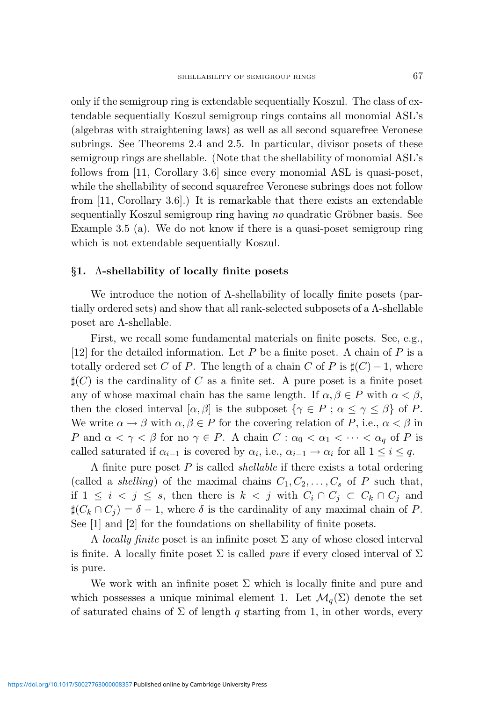only if the semigroup ring is extendable sequentially Koszul. The class of extendable sequentially Koszul semigroup rings contains all monomial ASL's (algebras with straightening laws) as well as all second squarefree Veronese subrings. See Theorems 2.4 and 2.5. In particular, divisor posets of these semigroup rings are shellable. (Note that the shellability of monomial ASL's follows from [11, Corollary 3.6] since every monomial ASL is quasi-poset, while the shellability of second squarefree Veronese subrings does not follow from [11, Corollary 3.6].) It is remarkable that there exists an extendable sequentially Koszul semigroup ring having no quadratic Gröbner basis. See Example 3.5 (a). We do not know if there is a quasi-poset semigroup ring which is not extendable sequentially Koszul.

#### §1. Λ-shellability of locally finite posets

We introduce the notion of Λ-shellability of locally finite posets (partially ordered sets) and show that all rank-selected subposets of a Λ-shellable poset are Λ-shellable.

First, we recall some fundamental materials on finite posets. See, e.g., [12] for the detailed information. Let P be a finite poset. A chain of P is a totally ordered set C of P. The length of a chain C of P is  $\sharp(C) - 1$ , where  $\sharp(C)$  is the cardinality of C as a finite set. A pure poset is a finite poset any of whose maximal chain has the same length. If  $\alpha, \beta \in P$  with  $\alpha < \beta$ , then the closed interval  $[\alpha, \beta]$  is the subposet  $\{\gamma \in P : \alpha \leq \gamma \leq \beta\}$  of P. We write  $\alpha \to \beta$  with  $\alpha, \beta \in P$  for the covering relation of P, i.e.,  $\alpha < \beta$  in P and  $\alpha < \gamma < \beta$  for no  $\gamma \in P$ . A chain  $C : \alpha_0 < \alpha_1 < \cdots < \alpha_q$  of P is called saturated if  $\alpha_{i-1}$  is covered by  $\alpha_i$ , i.e.,  $\alpha_{i-1} \to \alpha_i$  for all  $1 \leq i \leq q$ .

A finite pure poset  $P$  is called *shellable* if there exists a total ordering (called a *shelling*) of the maximal chains  $C_1, C_2, \ldots, C_s$  of P such that, if  $1 \leq i \leq j \leq s$ , then there is  $k \leq j$  with  $C_i \cap C_j \subset C_k \cap C_j$  and  $\sharp(C_k \cap C_j) = \delta - 1$ , where  $\delta$  is the cardinality of any maximal chain of P. See [1] and [2] for the foundations on shellability of finite posets.

A *locally finite* poset is an infinite poset  $\Sigma$  any of whose closed interval is finite. A locally finite poset  $\Sigma$  is called *pure* if every closed interval of  $\Sigma$ is pure.

We work with an infinite poset  $\Sigma$  which is locally finite and pure and which possesses a unique minimal element 1. Let  $\mathcal{M}_q(\Sigma)$  denote the set of saturated chains of  $\Sigma$  of length q starting from 1, in other words, every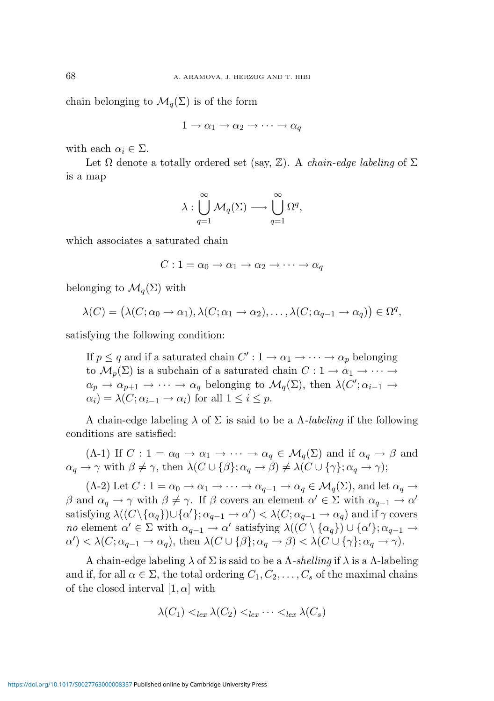chain belonging to  $\mathcal{M}_q(\Sigma)$  is of the form

$$
1 \to \alpha_1 \to \alpha_2 \to \cdots \to \alpha_q
$$

with each  $\alpha_i \in \Sigma$ .

Let  $\Omega$  denote a totally ordered set (say,  $\mathbb{Z}$ ). A *chain-edge labeling* of  $\Sigma$ is a map

$$
\lambda:\bigcup_{q=1}^{\infty}\mathcal{M}_q(\Sigma)\longrightarrow \bigcup_{q=1}^{\infty}\Omega^q,
$$

which associates a saturated chain

$$
C: 1 = \alpha_0 \to \alpha_1 \to \alpha_2 \to \cdots \to \alpha_q
$$

belonging to  $\mathcal{M}_q(\Sigma)$  with

$$
\lambda(C) = (\lambda(C; \alpha_0 \to \alpha_1), \lambda(C; \alpha_1 \to \alpha_2), \dots, \lambda(C; \alpha_{q-1} \to \alpha_q)) \in \Omega^q,
$$

satisfying the following condition:

If  $p \leq q$  and if a saturated chain  $C' : 1 \to \alpha_1 \to \cdots \to \alpha_p$  belonging to  $\mathcal{M}_p(\Sigma)$  is a subchain of a saturated chain  $C: 1 \to \alpha_1 \to \cdots \to$  $\alpha_p \to \alpha_{p+1} \to \cdots \to \alpha_q$  belonging to  $\mathcal{M}_q(\Sigma)$ , then  $\lambda(C'; \alpha_{i-1} \to \Sigma)$  $\alpha_i$ ) =  $\lambda(C; \alpha_{i-1} \rightarrow \alpha_i)$  for all  $1 \leq i \leq p$ .

A chain-edge labeling  $\lambda$  of  $\Sigma$  is said to be a  $\Lambda$ -labeling if the following conditions are satisfied:

(Λ-1) If  $C: 1 = \alpha_0 \rightarrow \alpha_1 \rightarrow \cdots \rightarrow \alpha_q \in \mathcal{M}_q(\Sigma)$  and if  $\alpha_q \rightarrow \beta$  and  $\alpha_q \to \gamma$  with  $\beta \neq \gamma$ , then  $\lambda(C \cup {\beta}; \alpha_q \to \beta) \neq \lambda(C \cup {\gamma}; \alpha_q \to \gamma);$ 

 $(\Lambda$ -2) Let  $C: 1 = \alpha_0 \to \alpha_1 \to \cdots \to \alpha_{q-1} \to \alpha_q \in \mathcal{M}_q(\Sigma)$ , and let  $\alpha_q \to$  $\beta$  and  $\alpha_q \to \gamma$  with  $\beta \neq \gamma$ . If  $\beta$  covers an element  $\alpha' \in \Sigma$  with  $\alpha_{q-1} \to \alpha'$ satisfying  $\lambda((C \setminus {\{\alpha_q\}}) \cup {\{\alpha'\}}; \alpha_{q-1} \to \alpha') < \lambda(C; \alpha_{q-1} \to \alpha_q)$  and if  $\gamma$  covers no element  $\alpha' \in \Sigma$  with  $\alpha_{q-1} \to \alpha'$  satisfying  $\lambda((C \setminus {\alpha_q}) \cup {\alpha'}; \alpha_{q-1} \to \alpha'$  $\alpha'$ )  $\lt \lambda(C; \alpha_{q-1} \to \alpha_q)$ , then  $\lambda(C \cup \{\beta\}; \alpha_q \to \beta) \lt \lambda(C \cup \{\gamma\}; \alpha_q \to \gamma)$ .

A chain-edge labeling  $\lambda$  of  $\Sigma$  is said to be a  $\Lambda$ -shelling if  $\lambda$  is a  $\Lambda$ -labeling and if, for all  $\alpha \in \Sigma$ , the total ordering  $C_1, C_2, \ldots, C_s$  of the maximal chains of the closed interval  $[1,\alpha]$  with

$$
\lambda(C_1) <_{lex} \lambda(C_2) <_{lex} \cdots <_{lex} \lambda(C_s)
$$

<https://doi.org/10.1017/S0027763000008357>Published online by Cambridge University Press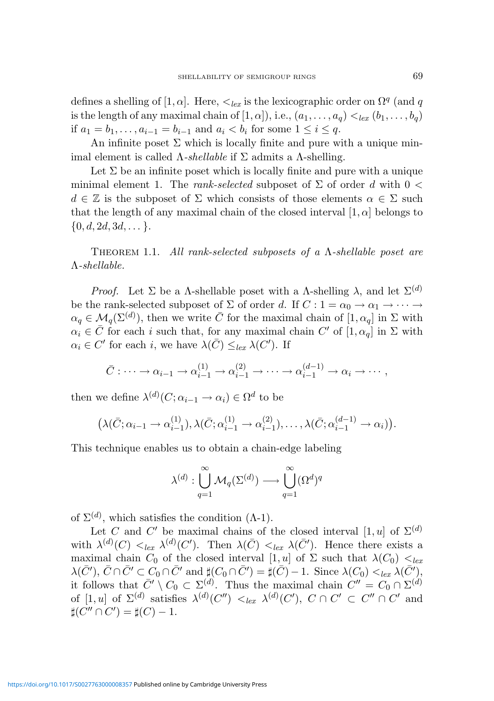defines a shelling of [1,  $\alpha$ ]. Here,  $\lt_{lex}$  is the lexicographic order on  $\Omega^q$  (and q is the length of any maximal chain of  $[1, \alpha]$ ), i.e.,  $(a_1, \ldots, a_q) <_{lex} (b_1, \ldots, b_q)$ if  $a_1 = b_1, ..., a_{i-1} = b_{i-1}$  and  $a_i < b_i$  for some  $1 \le i \le q$ .

An infinite poset  $\Sigma$  which is locally finite and pure with a unique minimal element is called  $\Lambda$ -shellable if  $\Sigma$  admits a  $\Lambda$ -shelling.

Let  $\Sigma$  be an infinite poset which is locally finite and pure with a unique minimal element 1. The rank-selected subposet of  $\Sigma$  of order d with 0 <  $d \in \mathbb{Z}$  is the subposet of  $\Sigma$  which consists of those elements  $\alpha \in \Sigma$  such that the length of any maximal chain of the closed interval  $[1,\alpha]$  belongs to  $\{0, d, 2d, 3d, \dots\}.$ 

THEOREM 1.1. All rank-selected subposets of a  $\Lambda$ -shellable poset are Λ-shellable.

*Proof.* Let Σ be a Λ-shellable poset with a Λ-shelling λ, and let  $\Sigma^{(d)}$ be the rank-selected subposet of  $\Sigma$  of order d. If  $C: 1 = \alpha_0 \rightarrow \alpha_1 \rightarrow \cdots$  $\alpha_q \in \mathcal{M}_q(\Sigma^{(d)})$ , then we write  $\overline{C}$  for the maximal chain of  $[1, \alpha_q]$  in  $\Sigma$  with  $\alpha_i \in \overline{C}$  for each i such that, for any maximal chain C' of  $[1,\alpha_q]$  in  $\Sigma$  with  $\alpha_i \in C'$  for each i, we have  $\lambda(\bar{C}) \leq_{lex} \lambda(C')$ . If

$$
\bar{C} : \cdots \to \alpha_{i-1} \to \alpha_{i-1}^{(1)} \to \alpha_{i-1}^{(2)} \to \cdots \to \alpha_{i-1}^{(d-1)} \to \alpha_i \to \cdots,
$$

then we define  $\lambda^{(d)}(C; \alpha_{i-1} \to \alpha_i) \in \Omega^d$  to be

$$
\left(\lambda(\bar{C}; \alpha_{i-1} \to \alpha_{i-1}^{(1)}), \lambda(\bar{C}; \alpha_{i-1}^{(1)} \to \alpha_{i-1}^{(2)}), \ldots, \lambda(\bar{C}; \alpha_{i-1}^{(d-1)} \to \alpha_i)\right).
$$

This technique enables us to obtain a chain-edge labeling

$$
\lambda^{(d)}: \bigcup_{q=1}^{\infty} \mathcal{M}_q(\Sigma^{(d)}) \longrightarrow \bigcup_{q=1}^{\infty} (\Omega^d)^q
$$

of  $\Sigma^{(d)}$ , which satisfies the condition  $(\Lambda$ -1).

Let C and C' be maximal chains of the closed interval  $[1, u]$  of  $\Sigma^{(d)}$ with  $\lambda^{(d)}(C) <_{lex} \lambda^{(d)}(C')$ . Then  $\lambda(\overline{C}) <_{lex} \lambda(\overline{C}')$ . Hence there exists a maximal chain  $C_0$  of the closed interval  $[1, u]$  of  $\Sigma$  such that  $\lambda(C_0) <_{lex}$  $\lambda(\bar{C}'), \bar{C} \cap \bar{C}' \subset C_0 \cap \bar{C}'$  and  $\sharp(C_0 \cap \bar{C}') = \sharp(\bar{C}) - 1$ . Since  $\lambda(C_0) <_{lex} \lambda(\bar{C}'),$ it follows that  $\bar{C}' \setminus C_0 \subset \Sigma^{(d)}$ . Thus the maximal chain  $C'' = C_0 \cap \Sigma^{(d)}$ of  $[1, u]$  of  $\Sigma^{(d)}$  satisfies  $\lambda^{(d)}(C'') \leq_{lex} \lambda^{(d)}(C')$ ,  $C \cap C' \subset C'' \cap C'$  and  $\sharp(C'' \cap C') = \sharp(C) - 1.$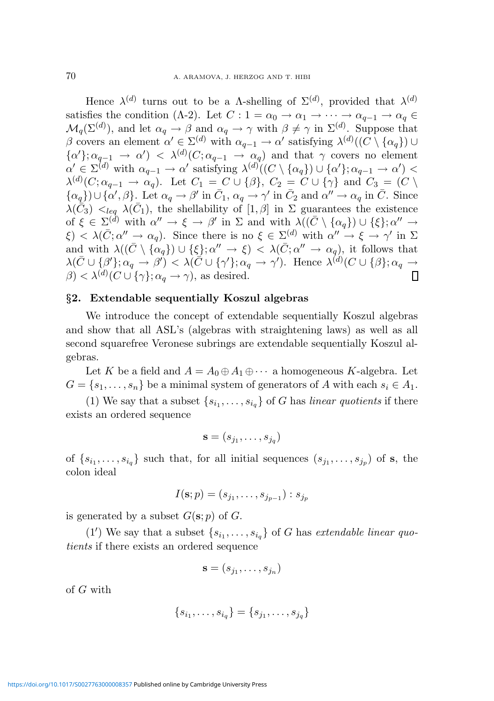Hence  $\lambda^{(d)}$  turns out to be a A-shelling of  $\Sigma^{(d)}$ , provided that  $\lambda^{(d)}$ satisfies the condition (Λ-2). Let  $C: 1 = \alpha_0 \to \alpha_1 \to \cdots \to \alpha_{q-1} \to \alpha_q \in$  $\mathcal{M}_q(\Sigma^{(d)})$ , and let  $\alpha_q \to \beta$  and  $\alpha_q \to \gamma$  with  $\beta \neq \gamma$  in  $\Sigma^{(d)}$ . Suppose that β covers an element  $\alpha' \in \Sigma^{(d)}$  with  $\alpha_{q-1} \to \alpha'$  satisfying  $\lambda^{(d)}((C \setminus {\alpha_q}) \cup$  $\{\alpha'\}; \alpha_{q-1} \to \alpha' \rangle \langle \alpha \rangle \langle C; \alpha_{q-1} \to \alpha_q \rangle$  and that  $\gamma$  covers no element  $\alpha' \in \Sigma^{(d)}$  with  $\alpha_{q-1} \to \alpha'$  satisfying  $\lambda^{(d)}((C \setminus {\alpha_q}) \cup {\alpha'}; \alpha_{q-1} \to \alpha')$  $\lambda^{(d)}(C; \alpha_{q-1} \to \alpha_q)$ . Let  $C_1 = C \cup {\beta}$ ,  $C_2 = C \cup {\gamma}$  and  $C_3 = (C \setminus$  $\{\alpha_q\}\cup\{\alpha',\beta\}$ . Let  $\alpha_q\to\beta'$  in  $\bar{C}_1$ ,  $\alpha_q\to\gamma'$  in  $\bar{C}_2$  and  $\alpha''\to\alpha_q$  in  $\bar{C}$ . Since  $\lambda(\bar{C}_3)$   $\lt_{leq q}$   $\lambda(\bar{C}_1)$ , the shellability of  $[1, \beta]$  in  $\Sigma$  guarantees the existence of  $\xi \in \Sigma^{(d)}$  with  $\alpha'' \to \xi \to \beta'$  in  $\Sigma$  and with  $\lambda((\bar{C} \setminus {\{\alpha_q\}}) \cup {\{\xi\}}; \alpha'' \to$  $\xi$  <  $\lambda(\bar{C}; \alpha'' \to \alpha_q)$ . Since there is no  $\xi \in \Sigma^{(d)}$  with  $\alpha'' \to \xi \to \gamma'$  in  $\Sigma$ and with  $\lambda((\bar{C}\setminus {\{\alpha_q\}}) \cup {\{\xi\}}; \alpha'' \to {\xi}) \leq \lambda(\bar{C}; \alpha'' \to \alpha_q)$ , it follows that  $\lambda(\bar C\cup\{\beta'\};\alpha_q\rightarrow\beta')\lt\lambda(\bar C\cup\{\gamma'\};\alpha_q\rightarrow\gamma')$ . Hence  $\lambda^{(d)}(C\cup\{\beta\};\alpha_q\rightarrow\gamma')$  $\beta$  <  $\lambda^{(d)}(C \cup {\{\gamma\}}; \alpha_q \to \gamma)$ , as desired. П

### §2. Extendable sequentially Koszul algebras

We introduce the concept of extendable sequentially Koszul algebras and show that all ASL's (algebras with straightening laws) as well as all second squarefree Veronese subrings are extendable sequentially Koszul algebras.

Let K be a field and  $A = A_0 \oplus A_1 \oplus \cdots$  a homogeneous K-algebra. Let  $G = \{s_1, \ldots, s_n\}$  be a minimal system of generators of A with each  $s_i \in A_1$ .

(1) We say that a subset  $\{s_{i_1}, \ldots, s_{i_q}\}$  of G has linear quotients if there exists an ordered sequence

$$
\mathbf{s}=(s_{j_1},\ldots,s_{j_q})
$$

of  $\{s_{i_1},\ldots,s_{i_q}\}\$  such that, for all initial sequences  $(s_{j_1},\ldots,s_{j_p})$  of s, the colon ideal

$$
I(\mathbf{s};p)=(s_{j_1},\ldots,s_{j_{p-1}}):s_{j_p}
$$

is generated by a subset  $G(\mathbf{s};p)$  of  $G$ .

(1') We say that a subset  $\{s_{i_1}, \ldots, s_{i_q}\}$  of G has extendable linear quotients if there exists an ordered sequence

$$
\mathbf{s}=(s_{j_1},\ldots,s_{j_n})
$$

of G with

$$
\{s_{i_1},\ldots,s_{i_q}\} = \{s_{j_1},\ldots,s_{j_q}\}\
$$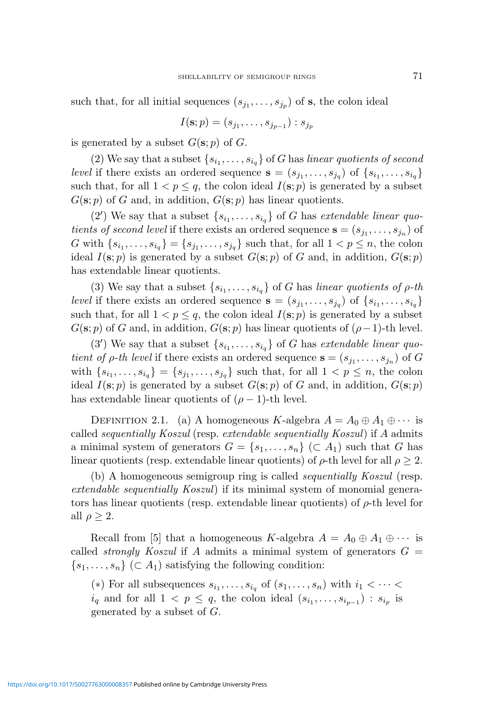such that, for all initial sequences  $(s_{j_1},...,s_{j_p})$  of **s**, the colon ideal

$$
I(\mathbf{s};p)=(s_{j_1},\ldots,s_{j_{p-1}}):s_{j_p}
$$

is generated by a subset  $G(\mathbf{s};p)$  of G.

(2) We say that a subset  $\{s_{i_1}, \ldots, s_{i_q}\}$  of G has linear quotients of second level if there exists an ordered sequence  $\mathbf{s} = (s_{j_1}, \ldots, s_{j_q})$  of  $\{s_{i_1}, \ldots, s_{i_q}\}\$ such that, for all  $1 < p \leq q$ , the colon ideal  $I(\mathbf{s}; p)$  is generated by a subset  $G(\mathbf{s};p)$  of G and, in addition,  $G(\mathbf{s};p)$  has linear quotients.

(2') We say that a subset  $\{s_{i_1}, \ldots, s_{i_q}\}$  of G has extendable linear quotients of second level if there exists an ordered sequence  $\mathbf{s} = (s_{j_1}, \dots, s_{j_n})$  of G with  $\{s_{i_1}, \ldots, s_{i_q}\} = \{s_{j_1}, \ldots, s_{j_q}\}$  such that, for all  $1 < p \le n$ , the colon ideal  $I(\mathbf{s};p)$  is generated by a subset  $G(\mathbf{s};p)$  of G and, in addition,  $G(\mathbf{s};p)$ has extendable linear quotients.

(3) We say that a subset  $\{s_{i_1}, \ldots, s_{i_q}\}$  of G has linear quotients of  $\rho$ -th level if there exists an ordered sequence  $\mathbf{s} = (s_{j_1}, \ldots, s_{j_q})$  of  $\{s_{i_1}, \ldots, s_{i_q}\}\$ such that, for all  $1 < p \leq q$ , the colon ideal  $I(\mathbf{s}; p)$  is generated by a subset  $G(\mathbf{s}; p)$  of G and, in addition,  $G(\mathbf{s}; p)$  has linear quotients of  $(\rho - 1)$ -th level.

(3') We say that a subset  $\{s_{i_1}, \ldots, s_{i_q}\}$  of G has extendable linear quotient of  $\rho$ -th level if there exists an ordered sequence  $\mathbf{s} = (s_{j_1}, \ldots, s_{j_n})$  of G with  $\{s_{i_1}, \ldots, s_{i_q}\} = \{s_{j_1}, \ldots, s_{j_q}\}\$  such that, for all  $1 < p \leq n$ , the colon ideal  $I(\mathbf{s};p)$  is generated by a subset  $G(\mathbf{s};p)$  of G and, in addition,  $G(\mathbf{s};p)$ has extendable linear quotients of  $(\rho - 1)$ -th level.

DEFINITION 2.1. (a) A homogeneous K-algebra  $A = A_0 \oplus A_1 \oplus \cdots$  is called sequentially Koszul (resp. extendable sequentially Koszul) if A admits a minimal system of generators  $G = \{s_1, \ldots, s_n\}$  ( $\subset A_1$ ) such that G has linear quotients (resp. extendable linear quotients) of  $\rho$ -th level for all  $\rho \geq 2$ .

(b) A homogeneous semigroup ring is called sequentially Koszul (resp. extendable sequentially Koszul) if its minimal system of monomial generators has linear quotients (resp. extendable linear quotients) of  $\rho$ -th level for all  $\rho \geq 2$ .

Recall from [5] that a homogeneous K-algebra  $A = A_0 \oplus A_1 \oplus \cdots$  is called *strongly Koszul* if A admits a minimal system of generators  $G =$  $\{s_1, \ldots, s_n\}$  (⊂ A<sub>1</sub>) satisfying the following condition:

(\*) For all subsequences  $s_{i_1}, \ldots, s_{i_q}$  of  $(s_1, \ldots, s_n)$  with  $i_1 < \cdots <$  $i_q$  and for all  $1 < p \leq q$ , the colon ideal  $(s_{i_1}, \ldots, s_{i_{p-1}})$ :  $s_{i_p}$  is generated by a subset of G.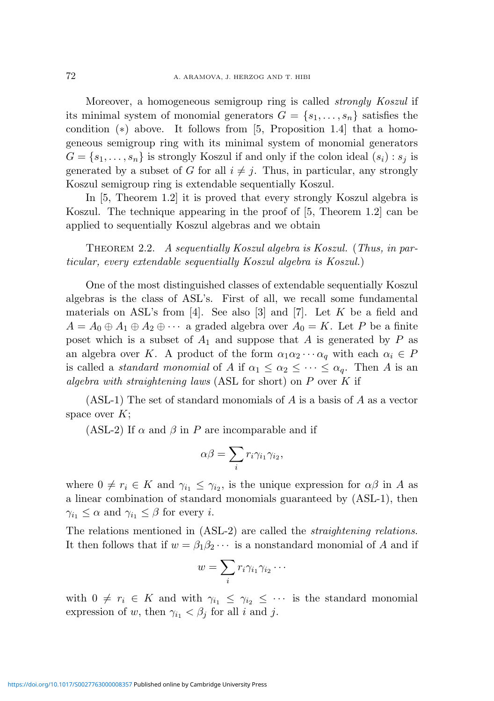Moreover, a homogeneous semigroup ring is called strongly Koszul if its minimal system of monomial generators  $G = \{s_1, \ldots, s_n\}$  satisfies the condition  $(*)$  above. It follows from [5, Proposition 1.4] that a homogeneous semigroup ring with its minimal system of monomial generators  $G = \{s_1, \ldots, s_n\}$  is strongly Koszul if and only if the colon ideal  $(s_i)$ :  $s_j$  is generated by a subset of G for all  $i \neq j$ . Thus, in particular, any strongly Koszul semigroup ring is extendable sequentially Koszul.

In [5, Theorem 1.2] it is proved that every strongly Koszul algebra is Koszul. The technique appearing in the proof of [5, Theorem 1.2] can be applied to sequentially Koszul algebras and we obtain

THEOREM 2.2. A sequentially Koszul algebra is Koszul. (Thus, in particular, every extendable sequentially Koszul algebra is Koszul.)

One of the most distinguished classes of extendable sequentially Koszul algebras is the class of ASL's. First of all, we recall some fundamental materials on ASL's from  $[4]$ . See also  $[3]$  and  $[7]$ . Let K be a field and  $A = A_0 \oplus A_1 \oplus A_2 \oplus \cdots$  a graded algebra over  $A_0 = K$ . Let P be a finite poset which is a subset of  $A_1$  and suppose that A is generated by P as an algebra over K. A product of the form  $\alpha_1 \alpha_2 \cdots \alpha_q$  with each  $\alpha_i \in P$ is called a *standard monomial* of A if  $\alpha_1 \leq \alpha_2 \leq \cdots \leq \alpha_q$ . Then A is an algebra with straightening laws (ASL for short) on  $P$  over  $K$  if

(ASL-1) The set of standard monomials of A is a basis of A as a vector space over  $K$ ;

(ASL-2) If  $\alpha$  and  $\beta$  in P are incomparable and if

$$
\alpha \beta = \sum_i r_i \gamma_{i_1} \gamma_{i_2},
$$

where  $0 \neq r_i \in K$  and  $\gamma_{i_1} \leq \gamma_{i_2}$ , is the unique expression for  $\alpha\beta$  in A as a linear combination of standard monomials guaranteed by (ASL-1), then  $\gamma_{i_1} \leq \alpha$  and  $\gamma_{i_1} \leq \beta$  for every *i*.

The relations mentioned in (ASL-2) are called the *straightening relations*. It then follows that if  $w = \beta_1 \beta_2 \cdots$  is a nonstandard monomial of A and if

$$
w=\sum_i r_i\gamma_{i_1}\gamma_{i_2}\cdots
$$

with  $0 \neq r_i \in K$  and with  $\gamma_{i_1} \leq \gamma_{i_2} \leq \cdots$  is the standard monomial expression of w, then  $\gamma_{i_1} < \beta_j$  for all i and j.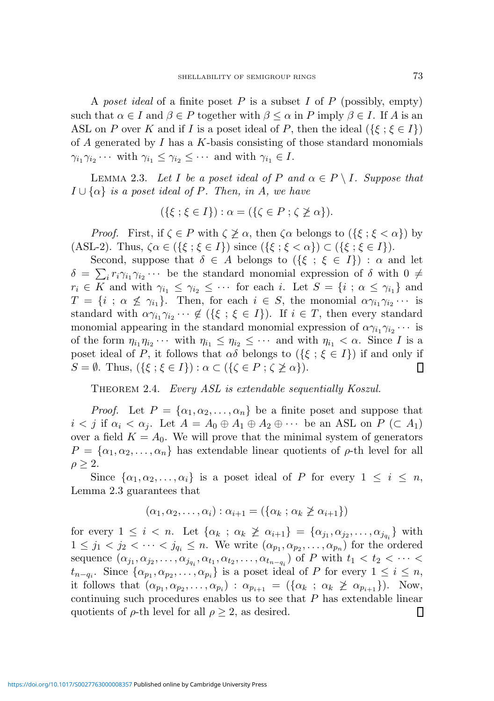A poset ideal of a finite poset  $P$  is a subset  $I$  of  $P$  (possibly, empty) such that  $\alpha \in I$  and  $\beta \in P$  together with  $\beta \leq \alpha$  in P imply  $\beta \in I$ . If A is an ASL on P over K and if I is a poset ideal of P, then the ideal  $({\{\xi;\xi \in I\}})$ of  $\overline{A}$  generated by  $\overline{I}$  has a  $\overline{K}$ -basis consisting of those standard monomials  $\gamma_{i_1}\gamma_{i_2}\cdots$  with  $\gamma_{i_1}\leq \gamma_{i_2}\leq \cdots$  and with  $\gamma_{i_1}\in I$ .

LEMMA 2.3. Let I be a poset ideal of P and  $\alpha \in P \setminus I$ . Suppose that  $I \cup \{\alpha\}$  is a poset ideal of P. Then, in A, we have

$$
(\{\xi \; ; \; \xi \in I\}) : \alpha = (\{\zeta \in P \; ; \; \zeta \not\geq \alpha\}).
$$

*Proof.* First, if  $\zeta \in P$  with  $\zeta \not\geq \alpha$ , then  $\zeta \alpha$  belongs to  $(\{\xi : \xi < \alpha\})$  by (ASL-2). Thus,  $\zeta \alpha \in (\{\xi : \xi \in I\})$  since  $(\{\xi : \xi < \alpha\}) \subset (\{\xi : \xi \in I\}).$ 

Second, suppose that  $\delta \in A$  belongs to  $(\{\xi : \xi \in I\}) : \alpha$  and let  $\delta = \sum_i r_i \gamma_{i_1} \gamma_{i_2} \cdots$  be the standard monomial expression of  $\delta$  with  $0 \neq$  $r_i \in K$  and with  $\gamma_{i_1} \leq \gamma_{i_2} \leq \cdots$  for each i. Let  $S = \{i : \alpha \leq \gamma_{i_1}\}\$ and  $T = \{i \; ; \; \alpha \not\leq \gamma_{i_1}\}.$  Then, for each  $i \in S$ , the monomial  $\alpha\gamma_{i_1}\gamma_{i_2}\cdots$  is standard with  $\alpha \gamma_{i_1} \gamma_{i_2} \cdots \notin (\{\xi \; ; \; \xi \in I\})$ . If  $i \in T$ , then every standard monomial appearing in the standard monomial expression of  $\alpha \gamma_{i_1} \gamma_{i_2} \cdots$  is of the form  $\eta_{i_1}\eta_{i_2}\cdots$  with  $\eta_{i_1} \leq \eta_{i_2} \leq \cdots$  and with  $\eta_{i_1} < \alpha$ . Since I is a poset ideal of P, it follows that  $\alpha\delta$  belongs to  $(\{\xi : \xi \in I\})$  if and only if  $S = \emptyset$ . Thus,  $({\{\xi : \xi \in I\}}) : \alpha \subset ({\{\zeta \in P : \zeta \not\geq \alpha\}}).$ ▯

THEOREM 2.4. Every ASL is extendable sequentially Koszul.

*Proof.* Let  $P = {\alpha_1, \alpha_2, ..., \alpha_n}$  be a finite poset and suppose that  $i < j$  if  $\alpha_i < \alpha_j$ . Let  $A = A_0 \oplus A_1 \oplus A_2 \oplus \cdots$  be an ASL on  $P \subset A_1$ ) over a field  $K = A_0$ . We will prove that the minimal system of generators  $P = {\alpha_1, \alpha_2, ..., \alpha_n}$  has extendable linear quotients of  $\rho$ -th level for all  $\rho \geq 2$ .

Since  $\{\alpha_1, \alpha_2, \ldots, \alpha_i\}$  is a poset ideal of P for every  $1 \leq i \leq n$ , Lemma 2.3 guarantees that

$$
(\alpha_1, \alpha_2, \ldots, \alpha_i) : \alpha_{i+1} = (\{\alpha_k : \alpha_k \geq \alpha_{i+1}\})
$$

for every  $1 \leq i < n$ . Let  $\{\alpha_k : \alpha_k \not\geq \alpha_{i+1}\} = \{\alpha_{j_1}, \alpha_{j_2}, \ldots, \alpha_{j_{q_i}}\}$  with  $1 \leq j_1 < j_2 < \cdots < j_{q_i} \leq n$ . We write  $(\alpha_{p_1}, \alpha_{p_2}, \ldots, \alpha_{p_n})$  for the ordered sequence  $(\alpha_{j_1}, \alpha_{j_2}, \ldots, \alpha_{j_{q_i}}, \alpha_{t_1}, \alpha_{t_2}, \ldots, \alpha_{t_{n-q_i}})$  of P with  $t_1 < t_2 < \cdots <$  $t_{n-q_i}$ . Since  $\{\alpha_{p_1}, \alpha_{p_2}, \ldots, \alpha_{p_i}\}$  is a poset ideal of P for every  $1 \leq i \leq n$ , it follows that  $(\alpha_{p_1}, \alpha_{p_2}, \ldots, \alpha_{p_i})$ :  $\alpha_{p_{i+1}} = (\{\alpha_k \; ; \; \alpha_k \not\geq \alpha_{p_{i+1}}\})$ . Now, continuing such procedures enables us to see that  $P$  has extendable linear quotients of  $\rho$ -th level for all  $\rho \geq 2$ , as desired. ▯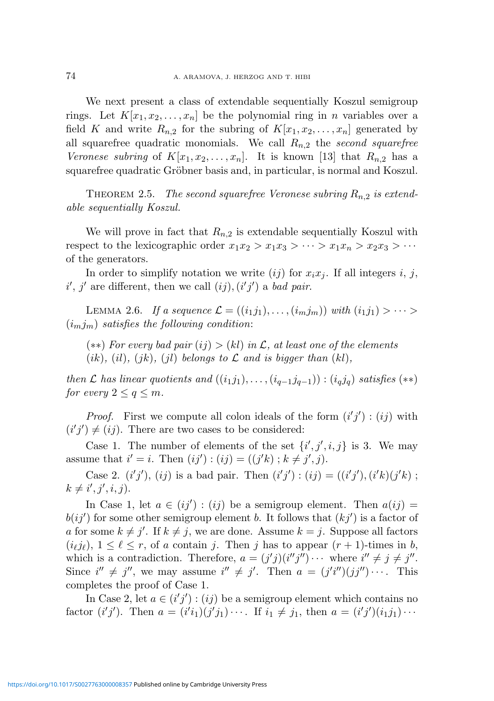We next present a class of extendable sequentially Koszul semigroup rings. Let  $K[x_1, x_2, \ldots, x_n]$  be the polynomial ring in n variables over a field K and write  $R_{n,2}$  for the subring of  $K[x_1, x_2, \ldots, x_n]$  generated by all squarefree quadratic monomials. We call  $R_{n,2}$  the second squarefree Veronese subring of  $K[x_1, x_2, \ldots, x_n]$ . It is known [13] that  $R_{n,2}$  has a squarefree quadratic Gröbner basis and, in particular, is normal and Koszul.

THEOREM 2.5. The second squarefree Veronese subring  $R_{n,2}$  is extendable sequentially Koszul.

We will prove in fact that  $R_{n,2}$  is extendable sequentially Koszul with respect to the lexicographic order  $x_1x_2 > x_1x_3 > \cdots > x_1x_n > x_2x_3 > \cdots$ of the generators.

In order to simplify notation we write  $(ij)$  for  $x_ix_j$ . If all integers i, j,  $i', j'$  are different, then we call  $(ij), (i'j')$  a *bad pair*.

LEMMA 2.6. If a sequence  $\mathcal{L} = ((i_1j_1), \ldots, (i_mj_m))$  with  $(i_1j_1) > \cdots >$  $(i_m j_m)$  satisfies the following condition:

(\*\*) For every bad pair  $(ij) > (kl)$  in  $\mathcal{L}$ , at least one of the elements  $(ik)$ ,  $(il)$ ,  $(jk)$ ,  $(jl)$  belongs to  $\mathcal L$  and is bigger than  $(kl)$ ,

then  $\mathcal L$  has linear quotients and  $((i_1j_1), \ldots, (i_{q-1}j_{q-1})) : (i_qj_q)$  satisfies  $(**)$ for every  $2 \leq q \leq m$ .

*Proof.* First we compute all colon ideals of the form  $(i'j')$ :  $(ij)$  with  $(i'j') \neq (ij)$ . There are two cases to be considered:

Case 1. The number of elements of the set  $\{i', j', i, j\}$  is 3. We may assume that  $i' = i$ . Then  $(ij') : (ij) = ((j'k) ; k \neq j', j)$ .

Case 2.  $(i'j'), (ij)$  is a bad pair. Then  $(i'j') : (ij) = ((i'j'), (i'k)(j'k)$ ;  $k \neq i', j', i, j)$ .

In Case 1, let  $a \in (ij') : (ij)$  be a semigroup element. Then  $a(ij) =$  $b(ij')$  for some other semigroup element b. It follows that  $(kj')$  is a factor of a for some  $k \neq j'$ . If  $k \neq j$ , we are done. Assume  $k = j$ . Suppose all factors  $(i_{\ell}j_{\ell}), 1 \leq \ell \leq r$ , of a contain j. Then j has to appear  $(r + 1)$ -times in b, which is a contradiction. Therefore,  $a = (j'j)(i''j'') \cdots$  where  $i'' \neq j \neq j''$ . Since  $i'' \neq j''$ , we may assume  $i'' \neq j'$ . Then  $a = (j'i'')(jj'') \cdots$ . This completes the proof of Case 1.

In Case 2, let  $a \in (i'j') : (ij)$  be a semigroup element which contains no factor  $(i'j')$ . Then  $a = (i'i_1)(j'j_1) \cdots$ . If  $i_1 \neq j_1$ , then  $a = (i'j')(i_1j_1) \cdots$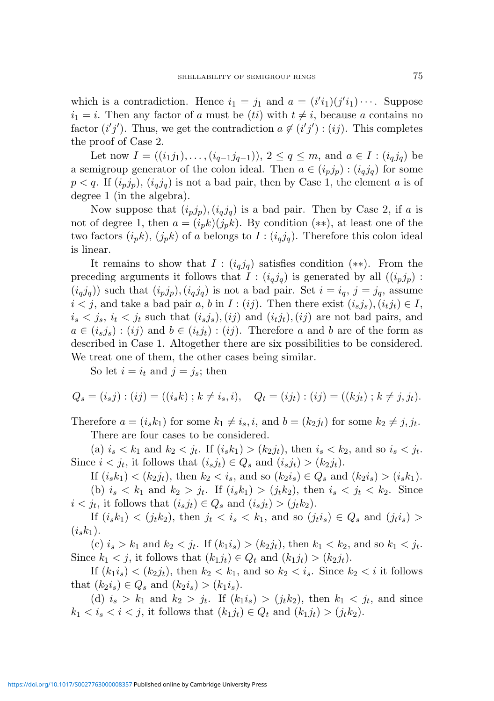which is a contradiction. Hence  $i_1 = j_1$  and  $a = (i'i_1)(j'i_1) \cdots$ . Suppose  $i_1 = i$ . Then any factor of a must be (ti) with  $t \neq i$ , because a contains no factor  $(i'j')$ . Thus, we get the contradiction  $a \notin (i'j') : (ij)$ . This completes the proof of Case 2.

Let now  $I = ((i_1j_1), \ldots, (i_{q-1}j_{q-1})), 2 \le q \le m$ , and  $a \in I : (i_qj_q)$  be a semigroup generator of the colon ideal. Then  $a \in (i_p j_p) : (i_q j_q)$  for some  $p < q$ . If  $(i_p j_p)$ ,  $(i_q j_q)$  is not a bad pair, then by Case 1, the element a is of degree 1 (in the algebra).

Now suppose that  $(i_p j_p)$ ,  $(i_q j_q)$  is a bad pair. Then by Case 2, if a is not of degree 1, then  $a = (i_p k)(j_p k)$ . By condition  $(**)$ , at least one of the two factors  $(i_p k)$ ,  $(j_p k)$  of a belongs to  $I : (i_q j_q)$ . Therefore this colon ideal is linear.

It remains to show that  $I : (i_q j_q)$  satisfies condition (\*\*). From the preceding arguments it follows that  $I : (i_q j_q)$  is generated by all  $((i_p j_p)$ :  $(i_q j_q)$  such that  $(i_p j_p)$ ,  $(i_q j_q)$  is not a bad pair. Set  $i = i_q$ ,  $j = j_q$ , assume  $i < j$ , and take a bad pair a, b in  $I : (ij)$ . Then there exist  $(i_s j_s), (i_t j_t) \in I$ ,  $i_s < j_s$ ,  $i_t < j_t$  such that  $(i_s j_s)$ ,  $(ij)$  and  $(i_t j_t)$ ,  $(ij)$  are not bad pairs, and  $a \in (i_s j_s) : (ij)$  and  $b \in (i_t j_t) : (ij)$ . Therefore a and b are of the form as described in Case 1. Altogether there are six possibilities to be considered. We treat one of them, the other cases being similar.

So let  $i = i_t$  and  $j = j_s$ ; then

$$
Q_s = (i_s j) : (ij) = ((i_s k) ; k \neq i_s, i), \quad Q_t = (ij_t) : (ij) = ((k j_t) ; k \neq j, j_t).
$$

Therefore  $a = (i_s k_1)$  for some  $k_1 \neq i_s, i$ , and  $b = (k_2 j_t)$  for some  $k_2 \neq j, j_t$ . There are four cases to be considered.

(a)  $i_s < k_1$  and  $k_2 < j_t$ . If  $(i_s k_1) > (k_2 j_t)$ , then  $i_s < k_2$ , and so  $i_s < j_t$ . Since  $i < j_t$ , it follows that  $(i_s j_t) \in Q_s$  and  $(i_s j_t) > (k_2 j_t)$ .

If  $(i_s k_1) < (k_2 j_t)$ , then  $k_2 < i_s$ , and so  $(k_2 i_s) \in Q_s$  and  $(k_2 i_s) > (i_s k_1)$ . (b)  $i_s < k_1$  and  $k_2 > j_t$ . If  $(i_s k_1) > (j_t k_2)$ , then  $i_s < j_t < k_2$ . Since  $i < j_t$ , it follows that  $(i_s j_t) \in Q_s$  and  $(i_s j_t) > (j_t k_2)$ .

If  $(i_s k_1) < (j_t k_2)$ , then  $j_t < i_s < k_1$ , and so  $(j_t i_s) \in Q_s$  and  $(j_t i_s)$  $(i_{s}k_{1}).$ 

(c)  $i_s > k_1$  and  $k_2 < j_t$ . If  $(k_1 i_s) > (k_2 j_t)$ , then  $k_1 < k_2$ , and so  $k_1 < j_t$ . Since  $k_1 < j$ , it follows that  $(k_1j_t) \in Q_t$  and  $(k_1j_t) > (k_2j_t)$ .

If  $(k_1i_s) < (k_2j_t)$ , then  $k_2 < k_1$ , and so  $k_2 < i_s$ . Since  $k_2 < i$  it follows that  $(k_2 i_s) \in Q_s$  and  $(k_2 i_s) > (k_1 i_s)$ .

(d)  $i_s > k_1$  and  $k_2 > j_t$ . If  $(k_1 i_s) > (j_t k_2)$ , then  $k_1 < j_t$ , and since  $k_1 < i_s < i < j$ , it follows that  $(k_1 j_t) \in Q_t$  and  $(k_1 j_t) > (j_t k_2)$ .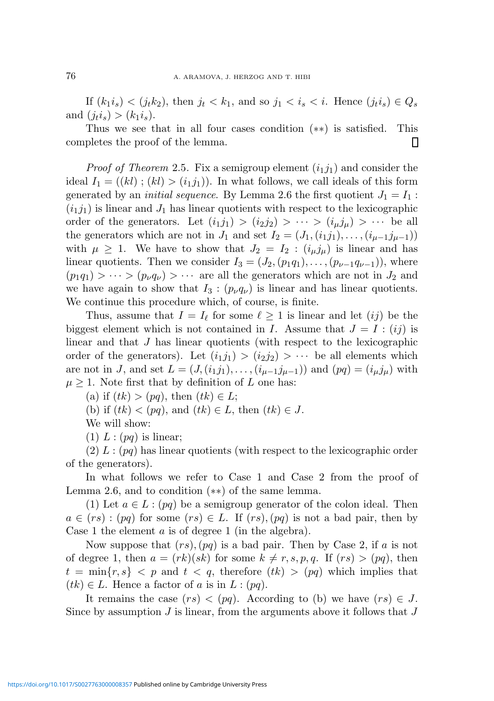If  $(k_1i_s) < (j_tk_2)$ , then  $j_t < k_1$ , and so  $j_1 < i_s < i$ . Hence  $(j_ti_s) \in Q_s$ and  $(j_t i_s) > (k_1 i_s)$ .

Thus we see that in all four cases condition (∗∗) is satisfied. This completes the proof of the lemma. П

*Proof of Theorem* 2.5. Fix a semigroup element  $(i_1j_1)$  and consider the ideal  $I_1 = ((kl)$ ;  $(kl) > (i_1j_1)$ . In what follows, we call ideals of this form generated by an *initial sequence*. By Lemma 2.6 the first quotient  $J_1 = I_1$ :  $(i_1j_1)$  is linear and  $J_1$  has linear quotients with respect to the lexicographic order of the generators. Let  $(i_1j_1) > (i_2j_2) > \cdots > (i_\mu j_\mu) > \cdots$  be all the generators which are not in  $J_1$  and set  $I_2 = (J_1,(i_1j_1),\ldots,(i_{\mu-1}j_{\mu-1}))$ with  $\mu \geq 1$ . We have to show that  $J_2 = I_2$ :  $(i_{\mu}j_{\mu})$  is linear and has linear quotients. Then we consider  $I_3 = (J_2,(p_1q_1),\ldots,(p_{\nu-1}q_{\nu-1}))$ , where  $(p_1q_1) > \cdots > (p_\nu q_\nu) > \cdots$  are all the generators which are not in  $J_2$  and we have again to show that  $I_3$ :  $(p_\nu q_\nu)$  is linear and has linear quotients. We continue this procedure which, of course, is finite.

Thus, assume that  $I = I_\ell$  for some  $\ell \geq 1$  is linear and let  $(ij)$  be the biggest element which is not contained in I. Assume that  $J = I : (ij)$  is linear and that J has linear quotients (with respect to the lexicographic order of the generators). Let  $(i_1j_1) > (i_2j_2) > \cdots$  be all elements which are not in J, and set  $L = (J(i_1j_1), \ldots, (i_{\mu-1}j_{\mu-1}))$  and  $(pq) = (i_{\mu}j_{\mu})$  with  $\mu \geq 1$ . Note first that by definition of L one has:

(a) if  $(tk) > (pq)$ , then  $(tk) \in L$ ;

(b) if  $(tk) < (pq)$ , and  $(tk) \in L$ , then  $(tk) \in J$ .

We will show:

 $(1) L : (pq)$  is linear;

 $(2) L : (pq)$  has linear quotients (with respect to the lexicographic order of the generators).

In what follows we refer to Case 1 and Case 2 from the proof of Lemma 2.6, and to condition (∗∗) of the same lemma.

(1) Let  $a \in L : (pq)$  be a semigroup generator of the colon ideal. Then  $a \in (rs) : (pq)$  for some  $(rs) \in L$ . If  $(rs), (pq)$  is not a bad pair, then by Case 1 the element  $a$  is of degree 1 (in the algebra).

Now suppose that  $(rs)$ ,  $(pq)$  is a bad pair. Then by Case 2, if a is not of degree 1, then  $a = (rk)(sk)$  for some  $k \neq r, s, p, q$ . If  $(rs) > (pq)$ , then  $t = \min\{r, s\} < p$  and  $t < q$ , therefore  $(tk) > (pq)$  which implies that  $(tk) \in L$ . Hence a factor of a is in  $L : (pq)$ .

It remains the case  $(rs) < (pq)$ . According to (b) we have  $(rs) \in J$ . Since by assumption  $J$  is linear, from the arguments above it follows that  $J$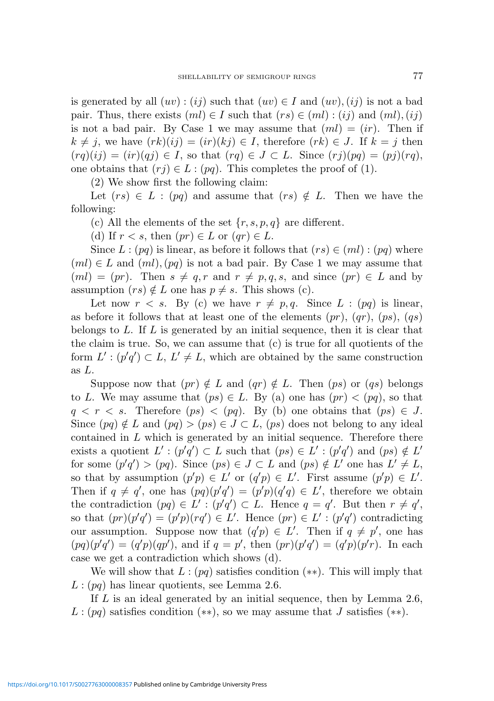is generated by all  $(uv)$ :  $(ij)$  such that  $(uv) \in I$  and  $(uv)$ ,  $(ij)$  is not a bad pair. Thus, there exists  $(ml) \in I$  such that  $(rs) \in (ml)$ ;  $(ij)$  and  $(ml)$ ,  $(ij)$ is not a bad pair. By Case 1 we may assume that  $(ml) = (ir)$ . Then if  $k \neq j$ , we have  $(rk)(ij) = (ir)(kj) \in I$ , therefore  $(rk) \in J$ . If  $k = j$  then  $(rq)(ij) = (ir)(qi) \in I$ , so that  $(rq) \in J \subset L$ . Since  $(ri)(pq) = (pj)(rq)$ , one obtains that  $(rj) \in L : (pq)$ . This completes the proof of (1).

(2) We show first the following claim:

Let  $(rs) \in L : (pq)$  and assume that  $(rs) \notin L$ . Then we have the following:

(c) All the elements of the set  $\{r, s, p, q\}$  are different.

(d) If  $r < s$ , then  $(pr) \in L$  or  $(qr) \in L$ .

Since  $L : (pq)$  is linear, as before it follows that  $(rs) \in (ml) : (pq)$  where  $(ml) \in L$  and  $(ml)$ ,  $(pq)$  is not a bad pair. By Case 1 we may assume that  $(ml) = (pr)$ . Then  $s \neq q, r$  and  $r \neq p, q, s$ , and since  $(pr) \in L$  and by assumption  $(rs) \notin L$  one has  $p \neq s$ . This shows (c).

Let now  $r < s$ . By (c) we have  $r \neq p, q$ . Since  $L : (pq)$  is linear, as before it follows that at least one of the elements  $(pr)$ ,  $(qr)$ ,  $(ps)$ ,  $(qs)$ belongs to L. If L is generated by an initial sequence, then it is clear that the claim is true. So, we can assume that (c) is true for all quotients of the form  $L' : (p'q') \subset L, L' \neq L$ , which are obtained by the same construction as L.

Suppose now that  $(pr) \notin L$  and  $(qr) \notin L$ . Then  $(ps)$  or  $(qs)$  belongs to L. We may assume that  $(ps) \in L$ . By (a) one has  $(pr) < (pq)$ , so that  $q < r < s$ . Therefore  $(ps) < (pq)$ . By (b) one obtains that  $(ps) \in J$ . Since  $(pq) \notin L$  and  $(pq) > (ps) \in J \subset L$ ,  $(ps)$  does not belong to any ideal contained in  $L$  which is generated by an initial sequence. Therefore there exists a quotient  $L' : (p'q') \subset L$  such that  $(ps) \in L' : (p'q')$  and  $(ps) \notin L'$ for some  $(p'q') > (pq)$ . Since  $(ps) \in J \subset L$  and  $(ps) \notin L'$  one has  $L' \neq L$ , so that by assumption  $(p'p) \in L'$  or  $(q'p) \in L'$ . First assume  $(p'p) \in L'$ . Then if  $q \neq q'$ , one has  $(pq)(p'q') = (p'p)(q'q) \in L'$ , therefore we obtain the contradiction  $(pq) \in L' : (p'q') \subset L$ . Hence  $q = q'$ . But then  $r \neq q'$ , so that  $(pr)(p'q') = (p'p)(rq') \in L'$ . Hence  $(pr) \in L'$ :  $(p'q')$  contradicting our assumption. Suppose now that  $(q'p) \in L'$ . Then if  $q \neq p'$ , one has  $(pq)(p'q') = (q'p)(qp')$ , and if  $q = p'$ , then  $(pr)(p'q') = (q'p)(p'r)$ . In each case we get a contradiction which shows (d).

We will show that  $L : (pq)$  satisfies condition  $(**)$ . This will imply that  $L: (pq)$  has linear quotients, see Lemma 2.6.

If  $L$  is an ideal generated by an initial sequence, then by Lemma 2.6,  $L : (pq)$  satisfies condition  $(**)$ , so we may assume that J satisfies  $(**)$ .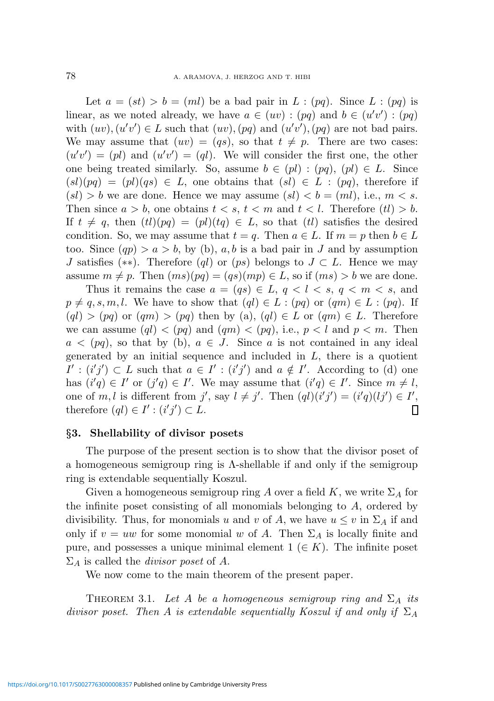Let  $a = (st) > b = (ml)$  be a bad pair in  $L : (pq)$ . Since  $L : (pq)$  is linear, as we noted already, we have  $a \in (uv) : (pq)$  and  $b \in (u'v') : (pq)$ with  $(uv)$ ,  $(u'v') \in L$  such that  $(uv)$ ,  $(pq)$  and  $(u'v')$ ,  $(pq)$  are not bad pairs. We may assume that  $(uv) = (qs)$ , so that  $t \neq p$ . There are two cases:  $(u'v') = (pl)$  and  $(u'v') = (ql)$ . We will consider the first one, the other one being treated similarly. So, assume  $b \in (pl) : (pq)$ ,  $[pl] \in L$ . Since  $(sl)(pq) = (pl)(qs) \in L$ , one obtains that  $(sl) \in L : (pq)$ , therefore if  $(sl) > b$  we are done. Hence we may assume  $(sl) < b = (ml)$ , i.e.,  $m < s$ . Then since  $a > b$ , one obtains  $t < s$ ,  $t < m$  and  $t < l$ . Therefore  $(tl) > b$ . If  $t \neq q$ , then  $(tl)(pq) = (pl)(tq) \in L$ , so that  $(tl)$  satisfies the desired condition. So, we may assume that  $t = q$ . Then  $a \in L$ . If  $m = p$  then  $b \in L$ too. Since  $(qp) > a > b$ , by (b), a, b is a bad pair in J and by assumption J satisfies (\*\*). Therefore (ql) or (ps) belongs to  $J \subset L$ . Hence we may assume  $m \neq p$ . Then  $(ms)(pq) = (qs)(mp) \in L$ , so if  $(ms) > b$  we are done.

Thus it remains the case  $a = (qs) \in L$ ,  $q < l < s$ ,  $q < m < s$ , and  $p \neq q, s, m, l$ . We have to show that  $(ql) \in L : (pq)$  or  $(qm) \in L : (pq)$ . If  $(ql) > (pq)$  or  $(qm) > (pq)$  then by  $(a), (ql) \in L$  or  $(qm) \in L$ . Therefore we can assume  $(ql) < (pq)$  and  $(qm) < (pq)$ , i.e.,  $p < l$  and  $p < m$ . Then  $a < (pq)$ , so that by (b),  $a \in J$ . Since a is not contained in any ideal generated by an initial sequence and included in  $L$ , there is a quotient  $I' : (i'j') \subset L$  such that  $a \in I' : (i'j')$  and  $a \notin I'$ . According to (d) one has  $(i'q) \in I'$  or  $(j'q) \in I'$ . We may assume that  $(i'q) \in I'$ . Since  $m \neq l$ , one of m, l is different from j', say  $l \neq j'$ . Then  $(ql)(i'j') = (i'q)(lj') \in I'$ , therefore  $(ql) \in I' : (i'j') \subset L$ . Π

#### §3. Shellability of divisor posets

The purpose of the present section is to show that the divisor poset of a homogeneous semigroup ring is  $\Lambda$ -shellable if and only if the semigroup ring is extendable sequentially Koszul.

Given a homogeneous semigroup ring A over a field K, we write  $\Sigma_A$  for the infinite poset consisting of all monomials belonging to  $A$ , ordered by divisibility. Thus, for monomials u and v of A, we have  $u \leq v$  in  $\Sigma_A$  if and only if  $v = uw$  for some monomial w of A. Then  $\Sigma_A$  is locally finite and pure, and possesses a unique minimal element  $1 \ (\in K)$ . The infinite poset  $\Sigma_A$  is called the *divisor poset* of A.

We now come to the main theorem of the present paper.

THEOREM 3.1. Let A be a homogeneous semigroup ring and  $\Sigma_A$  its divisor poset. Then A is extendable sequentially Koszul if and only if  $\Sigma_A$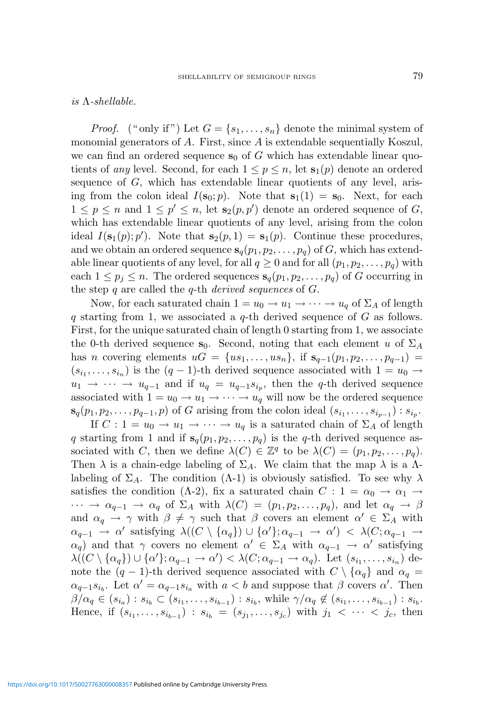is  $\Lambda$ -shellable.

*Proof.* ("only if") Let  $G = \{s_1, \ldots, s_n\}$  denote the minimal system of monomial generators of A. First, since A is extendable sequentially Koszul, we can find an ordered sequence  $s_0$  of G which has extendable linear quotients of any level. Second, for each  $1 \leq p \leq n$ , let  $s_1(p)$  denote an ordered sequence of  $G$ , which has extendable linear quotients of any level, arising from the colon ideal  $I(\mathbf{s}_0; p)$ . Note that  $\mathbf{s}_1(1) = \mathbf{s}_0$ . Next, for each  $1 \leq p \leq n$  and  $1 \leq p' \leq n$ , let  $\mathbf{s}_2(p, p')$  denote an ordered sequence of G, which has extendable linear quotients of any level, arising from the colon ideal  $I(\mathbf{s}_1(p); p')$ . Note that  $\mathbf{s}_2(p, 1) = \mathbf{s}_1(p)$ . Continue these procedures, and we obtain an ordered sequence  $s_q(p_1, p_2, \ldots, p_q)$  of G, which has extendable linear quotients of any level, for all  $q \geq 0$  and for all  $(p_1, p_2, \ldots, p_q)$  with each  $1 \leq p_j \leq n$ . The ordered sequences  $\mathbf{s}_q(p_1, p_2, \ldots, p_q)$  of G occurring in the step  $q$  are called the  $q$ -th *derived sequences* of  $G$ .

Now, for each saturated chain  $1 = u_0 \rightarrow u_1 \rightarrow \cdots \rightarrow u_q$  of  $\Sigma_A$  of length q starting from 1, we associated a q-th derived sequence of  $G$  as follows. First, for the unique saturated chain of length 0 starting from 1, we associate the 0-th derived sequence s<sub>0</sub>. Second, noting that each element u of  $\Sigma_A$ has n covering elements  $uG = \{us_1, \ldots, us_n\}$ , if  $s_{q-1}(p_1, p_2, \ldots, p_{q-1}) =$  $(s_{i_1},\ldots,s_{i_n})$  is the  $(q-1)$ -th derived sequence associated with  $1=u_0\to$  $u_1 \rightarrow \cdots \rightarrow u_{q-1}$  and if  $u_q = u_{q-1} s_{i_p}$ , then the q-th derived sequence associated with  $1 = u_0 \rightarrow u_1 \rightarrow \cdots \rightarrow u_q$  will now be the ordered sequence  $\mathbf{s}_q(p_1, p_2, \ldots, p_{q-1}, p)$  of G arising from the colon ideal  $(s_{i_1}, \ldots, s_{i_{p-1}})$ :  $s_{i_p}$ .

If  $C: 1 = u_0 \to u_1 \to \cdots \to u_q$  is a saturated chain of  $\Sigma_A$  of length q starting from 1 and if  $s_q(p_1, p_2, \ldots, p_q)$  is the q-th derived sequence associated with C, then we define  $\lambda(C) \in \mathbb{Z}^q$  to be  $\lambda(C) = (p_1, p_2, \ldots, p_q)$ . Then  $\lambda$  is a chain-edge labeling of  $\Sigma_A$ . We claim that the map  $\lambda$  is a  $\Lambda$ labeling of  $\Sigma_A$ . The condition ( $\Lambda$ -1) is obviously satisfied. To see why  $\lambda$ satisfies the condition ( $\Lambda$ -2), fix a saturated chain  $C: 1 = \alpha_0 \rightarrow \alpha_1 \rightarrow$  $\cdots \rightarrow \alpha_{q-1} \rightarrow \alpha_q$  of  $\Sigma_A$  with  $\lambda(C) = (p_1, p_2, \ldots, p_q)$ , and let  $\alpha_q \rightarrow \beta$ and  $\alpha_q \to \gamma$  with  $\beta \neq \gamma$  such that  $\beta$  covers an element  $\alpha' \in \Sigma_A$  with  $\alpha_{q-1} \rightarrow \alpha'$  satisfying  $\lambda((C \setminus {\alpha_q}) \cup {\alpha'}; \alpha_{q-1} \rightarrow \alpha') < \lambda(C; \alpha_{q-1} \rightarrow$  $\alpha_q$ ) and that  $\gamma$  covers no element  $\alpha' \in \Sigma_A$  with  $\alpha_{q-1} \to \alpha'$  satisfying  $\lambda((C \setminus {\alpha_q}) \cup {\alpha'}; \alpha_{q-1} \to \alpha') < \lambda(C; \alpha_{q-1} \to \alpha_q)$ . Let  $(s_{i_1}, \ldots, s_{i_n})$  denote the  $(q-1)$ -th derived sequence associated with  $C \setminus {\{\alpha_q\}}$  and  $\alpha_q =$  $\alpha_{q-1}s_{i_b}$ . Let  $\alpha' = \alpha_{q-1}s_{i_a}$  with  $a < b$  and suppose that  $\beta$  covers  $\alpha'$ . Then  $\beta/\alpha_q \in (s_{i_a}) : s_{i_b} \subset (s_{i_1}, \ldots, s_{i_{b-1}}) : s_{i_b}$ , while  $\gamma/\alpha_q \notin (s_{i_1}, \ldots, s_{i_{b-1}}) : s_{i_b}$ . Hence, if  $(s_{i_1},...,s_{i_{b-1}})$ :  $s_{i_b} = (s_{j_1},...,s_{j_c})$  with  $j_1 < \cdots < j_c$ , then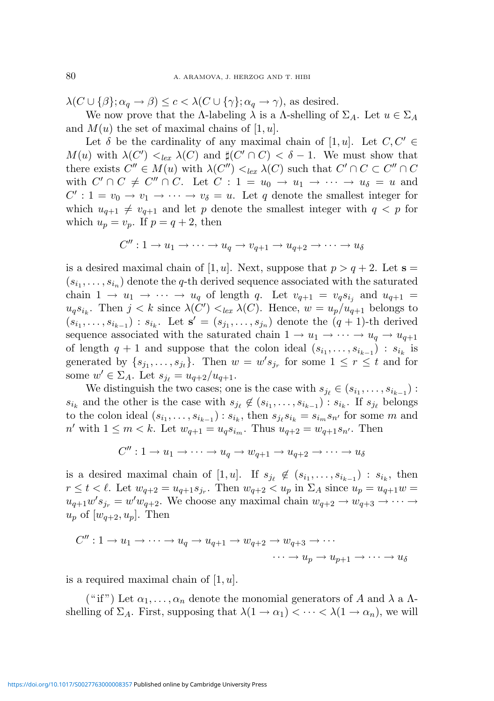$\lambda(C \cup {\beta}; \alpha_q \to \beta) \leq c < \lambda(C \cup {\gamma}; \alpha_q \to \gamma)$ , as desired.

We now prove that the Λ-labeling  $\lambda$  is a Λ-shelling of  $\Sigma_A$ . Let  $u \in \Sigma_A$ and  $M(u)$  the set of maximal chains of [1, u].

Let  $\delta$  be the cardinality of any maximal chain of [1, u]. Let  $C, C' \in$  $M(u)$  with  $\lambda(C') <_{lex} \lambda(C)$  and  $\sharp(C' \cap C) < \delta - 1$ . We must show that there exists  $C'' \in M(u)$  with  $\lambda(C'') \leq_{lex} \lambda(C)$  such that  $C' \cap C \subset C'' \cap C$ with  $C' \cap C \neq C'' \cap C$ . Let  $C : 1 = u_0 \to u_1 \to \cdots \to u_{\delta} = u$  and  $C' : 1 = v_0 \to v_1 \to \cdots \to v_\delta = u$ . Let q denote the smallest integer for which  $u_{q+1} \neq v_{q+1}$  and let p denote the smallest integer with  $q < p$  for which  $u_p = v_p$ . If  $p = q + 2$ , then

$$
C'' : 1 \to u_1 \to \cdots \to u_q \to v_{q+1} \to u_{q+2} \to \cdots \to u_\delta
$$

is a desired maximal chain of [1, u]. Next, suppose that  $p > q + 2$ . Let  $s =$  $(s_{i_1},\ldots,s_{i_n})$  denote the q-th derived sequence associated with the saturated chain  $1 \rightarrow u_1 \rightarrow \cdots \rightarrow u_q$  of length q. Let  $v_{q+1} = v_q s_{i_j}$  and  $u_{q+1} =$  $u_q s_{i_k}$ . Then  $j < k$  since  $\lambda(C') <_{lex} \lambda(C)$ . Hence,  $w = u_p/u_{q+1}$  belongs to  $(s_{i_1},\ldots,s_{i_{k-1}}): s_{i_k}$ . Let  $\mathbf{s}'=(s_{j_1},\ldots,s_{j_n})$  denote the  $(q+1)$ -th derived sequence associated with the saturated chain  $1 \rightarrow u_1 \rightarrow \cdots \rightarrow u_q \rightarrow u_{q+1}$ of length  $q + 1$  and suppose that the colon ideal  $(s_{i_1}, \ldots, s_{i_{k-1}})$ :  $s_{i_k}$  is generated by  $\{s_{j_1},\ldots,s_{j_t}\}\$ . Then  $w=w's_{j_r}$  for some  $1 \leq r \leq t$  and for some  $w' \in \Sigma_A$ . Let  $s_{j_\ell} = u_{q+2}/u_{q+1}$ .

We distinguish the two cases; one is the case with  $s_{j_\ell} \in (s_{i_1}, \ldots, s_{i_{k-1}})$ :  $s_{i_k}$  and the other is the case with  $s_{j_\ell} \notin (s_{i_1}, \ldots, s_{i_{k-1}}) : s_{i_k}$ . If  $s_{j_\ell}$  belongs to the colon ideal  $(s_{i_1},...,s_{i_{k-1}}): s_{i_k}$ , then  $s_{j_\ell}s_{i_k} = s_{i_m}s_{n'}$  for some m and  $n'$  with  $1 \leq m < k$ . Let  $w_{q+1} = u_q s_{i_m}$ . Thus  $u_{q+2} = w_{q+1} s_{n'}$ . Then

$$
C'' : 1 \to u_1 \to \cdots \to u_q \to w_{q+1} \to u_{q+2} \to \cdots \to u_\delta
$$

is a desired maximal chain of [1, *u*]. If  $s_{j_\ell} \notin (s_{i_1}, \ldots, s_{i_{k-1}}) : s_{i_k}$ , then  $r \leq t < l$ . Let  $w_{q+2} = u_{q+1}s_{j_r}$ . Then  $w_{q+2} < u_p$  in  $\Sigma_A$  since  $u_p = u_{q+1}w =$  $u_{q+1}w's_{j_r} = w'w_{q+2}$ . We choose any maximal chain  $w_{q+2} \to w_{q+3} \to \cdots \to$  $u_p$  of  $[w_{q+2}, u_p]$ . Then

$$
C'' : 1 \to u_1 \to \cdots \to u_q \to u_{q+1} \to w_{q+2} \to w_{q+3} \to \cdots
$$

$$
\cdots \to u_p \to u_{p+1} \to \cdots \to u_{\delta}
$$

is a required maximal chain of  $[1, u]$ .

("if") Let  $\alpha_1, \ldots, \alpha_n$  denote the monomial generators of A and  $\lambda$  a  $\Lambda$ shelling of  $\Sigma_A$ . First, supposing that  $\lambda(1 \to \alpha_1) < \cdots < \lambda(1 \to \alpha_n)$ , we will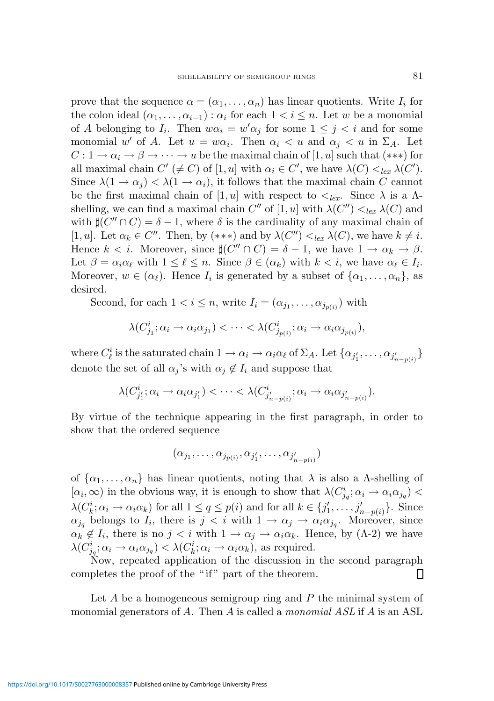prove that the sequence  $\alpha = (\alpha_1, \dots, \alpha_n)$  has linear quotients. Write  $I_i$  for the colon ideal  $(\alpha_1, \ldots, \alpha_{i-1})$ :  $\alpha_i$  for each  $1 < i \leq n$ . Let w be a monomial of A belonging to  $I_i$ . Then  $w\alpha_i = w'\alpha_j$  for some  $1 \leq j \leq i$  and for some monomial w' of A. Let  $u = w\alpha_i$ . Then  $\alpha_i < u$  and  $\alpha_j < u$  in  $\Sigma_A$ . Let  $C: 1 \to \alpha_i \to \beta \to \cdots \to u$  be the maximal chain of [1, u] such that (\*\*\*) for all maximal chain  $C' \neq C$  of  $[1, u]$  with  $\alpha_i \in C'$ , we have  $\lambda(C) <_{lex} \lambda(C')$ . Since  $\lambda(1 \to \alpha_i) < \lambda(1 \to \alpha_i)$ , it follows that the maximal chain C cannot be the first maximal chain of [1, u] with respect to  $\langle e_x, \rangle$  Since  $\lambda$  is a  $\Lambda$ shelling, we can find a maximal chain C'' of  $[1, u]$  with  $\lambda(C'') <_{lex} \lambda(C)$  and with  $\sharp(C'' \cap C) = \delta - 1$ , where  $\delta$  is the cardinality of any maximal chain of [1, u]. Let  $\alpha_k \in C''$ . Then, by (\*\*\*) and by  $\lambda(C'') <_{lex} \lambda(C)$ , we have  $k \neq i$ . Hence  $k < i$ . Moreover, since  $\sharp(C'' \cap C) = \delta - 1$ , we have  $1 \to \alpha_k \to \beta$ . Let  $\beta = \alpha_i \alpha_\ell$  with  $1 \leq \ell \leq n$ . Since  $\beta \in (\alpha_k)$  with  $k < i$ , we have  $\alpha_\ell \in I_i$ . Moreover,  $w \in (\alpha_{\ell})$ . Hence  $I_i$  is generated by a subset of  $\{\alpha_1, \ldots, \alpha_n\}$ , as desired.

Second, for each  $1 < i \leq n$ , write  $I_i = (\alpha_{j_1}, \dots, \alpha_{j_{p(i)}})$  with

$$
\lambda(C_{j_1}^i; \alpha_i \to \alpha_i \alpha_{j_1}) < \cdots < \lambda(C_{j_{p(i)}}^i; \alpha_i \to \alpha_i \alpha_{j_{p(i)}}),
$$

where  $C^i_\ell$  is the saturated chain  $1 \to \alpha_i \to \alpha_i \alpha_\ell$  of  $\Sigma_A$ . Let  $\{\alpha_{j'_1}, \ldots, \alpha_{j'_{n-p(i)}}\}$ denote the set of all  $\alpha_j$ 's with  $\alpha_j \notin I_i$  and suppose that

$$
\lambda(C_{j'_1}^i;\alpha_i\to\alpha_i\alpha_{j'_1})<\cdots<\lambda(C_{j'_{n-p(i)}}^i;\alpha_i\to\alpha_i\alpha_{j'_{n-p(i)}}).
$$

By virtue of the technique appearing in the first paragraph, in order to show that the ordered sequence

$$
(\alpha_{j_1},\ldots,\alpha_{j_{p(i)}},\alpha_{j'_1},\ldots,\alpha_{j'_{n-p(i)}})
$$

of  $\{\alpha_1, \ldots, \alpha_n\}$  has linear quotients, noting that  $\lambda$  is also a  $\Lambda$ -shelling of  $[\alpha_i,\infty)$  in the obvious way, it is enough to show that  $\lambda(C_{j_q}^i;\alpha_i\to\alpha_i\alpha_{j_q})$  $\lambda(C_k^i; \alpha_i \to \alpha_i \alpha_k)$  for all  $1 \leq q \leq p(i)$  and for all  $k \in \{j'_1\}$  $j'_{1}, \ldots, j'_{n-p(i)}$ . Since  $\alpha_{j_q}$  belongs to  $I_i$ , there is  $j < i$  with  $1 \to \alpha_j \to \alpha_i \alpha_{j_q}$ . Moreover, since  $\alpha_k \notin I_i$ , there is no  $j \leq i$  with  $1 \to \alpha_j \to \alpha_i \alpha_k$ . Hence, by  $(\Lambda - 2)$  we have  $\lambda(C_{j_q}^i; \alpha_i \to \alpha_i \alpha_{j_q}) < \lambda(C_k^i; \alpha_i \to \alpha_i \alpha_k)$ , as required.

Now, repeated application of the discussion in the second paragraph completes the proof of the "if" part of the theorem. ▯

Let  $A$  be a homogeneous semigroup ring and  $P$  the minimal system of monomial generators of A. Then A is called a monomial ASL if A is an ASL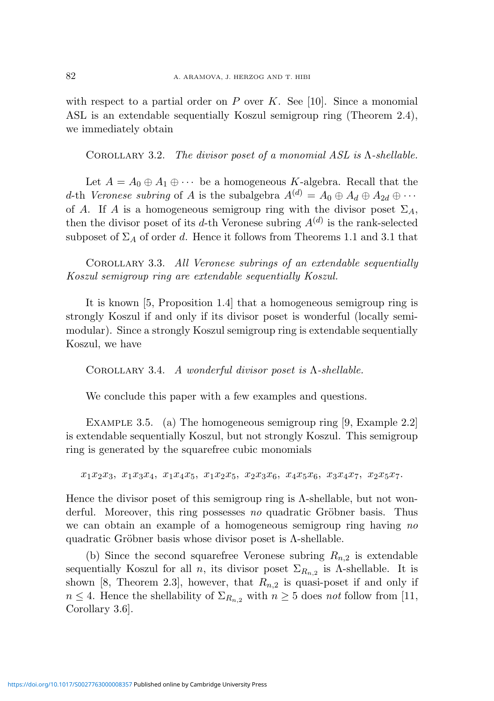with respect to a partial order on P over K. See [10]. Since a monomial ASL is an extendable sequentially Koszul semigroup ring (Theorem 2.4), we immediately obtain

COROLLARY 3.2. The divisor poset of a monomial ASL is  $\Lambda$ -shellable.

Let  $A = A_0 \oplus A_1 \oplus \cdots$  be a homogeneous K-algebra. Recall that the d-th Veronese subring of A is the subalgebra  $A^{(d)} = A_0 \oplus A_d \oplus A_{2d} \oplus \cdots$ of A. If A is a homogeneous semigroup ring with the divisor poset  $\Sigma_A$ , then the divisor poset of its d-th Veronese subring  $A<sup>(d)</sup>$  is the rank-selected subposet of  $\Sigma_A$  of order d. Hence it follows from Theorems 1.1 and 3.1 that

Corollary 3.3. All Veronese subrings of an extendable sequentially Koszul semigroup ring are extendable sequentially Koszul.

It is known [5, Proposition 1.4] that a homogeneous semigroup ring is strongly Koszul if and only if its divisor poset is wonderful (locally semimodular). Since a strongly Koszul semigroup ring is extendable sequentially Koszul, we have

COROLLARY 3.4. A wonderful divisor poset is  $\Lambda$ -shellable.

We conclude this paper with a few examples and questions.

EXAMPLE 3.5. (a) The homogeneous semigroup ring [9, Example 2.2] is extendable sequentially Koszul, but not strongly Koszul. This semigroup ring is generated by the squarefree cubic monomials

 $x_1x_2x_3, x_1x_3x_4, x_1x_4x_5, x_1x_2x_5, x_2x_3x_6, x_4x_5x_6, x_3x_4x_7, x_2x_5x_7.$ 

Hence the divisor poset of this semigroup ring is  $\Lambda$ -shellable, but not wonderful. Moreover, this ring possesses no quadratic Gröbner basis. Thus we can obtain an example of a homogeneous semigroup ring having no quadratic Gröbner basis whose divisor poset is  $\Lambda$ -shellable.

(b) Since the second squarefree Veronese subring  $R_{n,2}$  is extendable sequentially Koszul for all *n*, its divisor poset  $\Sigma_{R_{n,2}}$  is *Λ*-shellable. It is shown [8, Theorem 2.3], however, that  $R_{n,2}$  is quasi-poset if and only if  $n \leq 4$ . Hence the shellability of  $\Sigma_{R_{n,2}}$  with  $n \geq 5$  does not follow from [11, Corollary 3.6].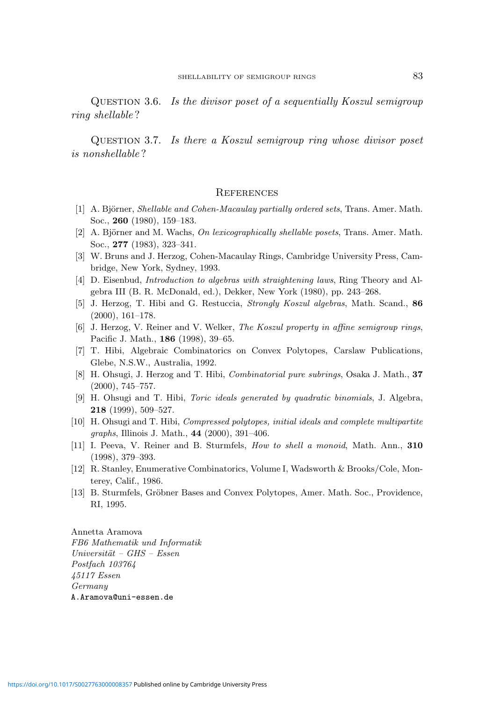Question 3.6. Is the divisor poset of a sequentially Koszul semigroup ring shellable ?

Question 3.7. Is there a Koszul semigroup ring whose divisor poset is nonshellable ?

#### **REFERENCES**

- [1] A. Björner, *Shellable and Cohen-Macaulay partially ordered sets*, Trans. Amer. Math. Soc., 260 (1980), 159–183.
- [2] A. Björner and M. Wachs, On lexicographically shellable posets, Trans. Amer. Math. Soc., 277 (1983), 323–341.
- [3] W. Bruns and J. Herzog, Cohen-Macaulay Rings, Cambridge University Press, Cambridge, New York, Sydney, 1993.
- [4] D. Eisenbud, Introduction to algebras with straightening laws, Ring Theory and Algebra III (B. R. McDonald, ed.), Dekker, New York (1980), pp. 243–268.
- [5] J. Herzog, T. Hibi and G. Restuccia, Strongly Koszul algebras, Math. Scand., 86 (2000), 161–178.
- [6] J. Herzog, V. Reiner and V. Welker, The Koszul property in affine semigroup rings, Pacific J. Math., 186 (1998), 39–65.
- [7] T. Hibi, Algebraic Combinatorics on Convex Polytopes, Carslaw Publications, Glebe, N.S.W., Australia, 1992.
- [8] H. Ohsugi, J. Herzog and T. Hibi, Combinatorial pure subrings, Osaka J. Math., 37 (2000), 745–757.
- [9] H. Ohsugi and T. Hibi, Toric ideals generated by quadratic binomials, J. Algebra, 218 (1999), 509–527.
- [10] H. Ohsugi and T. Hibi, Compressed polytopes, initial ideals and complete multipartite graphs, Illinois J. Math., 44 (2000), 391–406.
- [11] I. Peeva, V. Reiner and B. Sturmfels, How to shell a monoid, Math. Ann., 310 (1998), 379–393.
- [12] R. Stanley, Enumerative Combinatorics, Volume I, Wadsworth & Brooks/Cole, Monterey, Calif., 1986.
- [13] B. Sturmfels, Gröbner Bases and Convex Polytopes, Amer. Math. Soc., Providence, RI, 1995.

Annetta Aramova FB6 Mathematik und Informatik  $Universität - GHS - Essen$ Postfach 103764 45117 Essen Germany A.Aramova@uni-essen.de